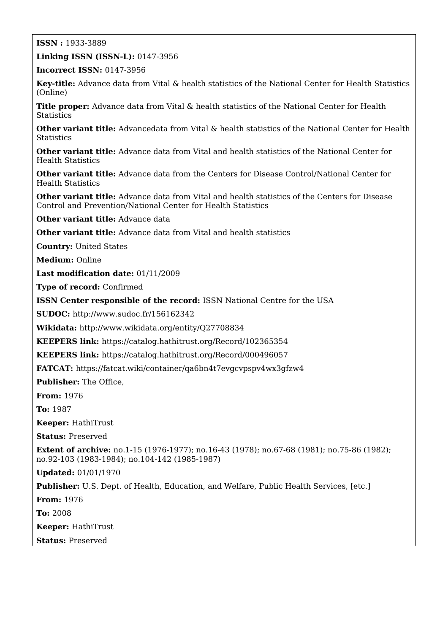## **ISSN :** 1933-3889

**Linking ISSN (ISSN-L):** 0147-3956

**Incorrect ISSN:** 0147-3956

**Key-title:** Advance data from Vital & health statistics of the National Center for Health Statistics (Online)

Title proper: Advance data from Vital & health statistics of the National Center for Health **Statistics** 

**Other variant title:** Advancedata from Vital & health statistics of the National Center for Health **Statistics** 

**Other variant title:** Advance data from Vital and health statistics of the National Center for Health Statistics

**Other variant title:** Advance data from the Centers for Disease Control/National Center for Health Statistics

**Other variant title:** Advance data from Vital and health statistics of the Centers for Disease Control and Prevention/National Center for Health Statistics

**Other variant title:** Advance data

**Other variant title:** Advance data from Vital and health statistics

**Country:** United States

**Medium:** Online

**Last modification date:** 01/11/2009

**Type of record:** Confirmed

**ISSN Center responsible of the record:** ISSN National Centre for the USA

**SUDOC:** <http://www.sudoc.fr/156162342>

**Wikidata:** <http://www.wikidata.org/entity/Q27708834>

**KEEPERS link:** <https://catalog.hathitrust.org/Record/102365354>

**KEEPERS link:** <https://catalog.hathitrust.org/Record/000496057>

**FATCAT:** <https://fatcat.wiki/container/qa6bn4t7evgcvpspv4wx3gfzw4>

**Publisher:** The Office,

**From:** 1976

**To:** 1987

**Keeper:** HathiTrust

**Status:** Preserved

**Extent of archive:** no.1-15 (1976-1977); no.16-43 (1978); no.67-68 (1981); no.75-86 (1982); no.92-103 (1983-1984); no.104-142 (1985-1987)

**Updated:** 01/01/1970

**Publisher:** U.S. Dept. of Health, Education, and Welfare, Public Health Services, [etc.]

**From:** 1976

**To:** 2008

**Keeper:** HathiTrust

**Status:** Preserved